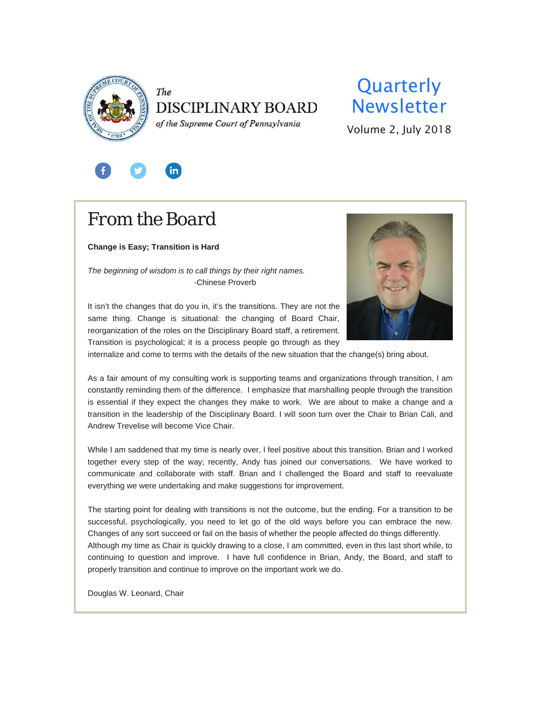

## The **DISCIPLINARY BOARD**

of the Supreme Court of Pennsylvania

## **Quarterly** Newsletter

Volume 2, July 2018



## *From the Board*

**Change is Easy; Transition is Hard**

*The beginning of wisdom is to call things by their right names.* -Chinese Proverb



It isn't the changes that do you in, it's the transitions. They are not the same thing. Change is situational: the changing of Board Chair, reorganization of the roles on the Disciplinary Board staff, a retirement. Transition is psychological; it is a process people go through as they

internalize and come to terms with the details of the new situation that the change(s) bring about.

As a fair amount of my consulting work is supporting teams and organizations through transition, I am constantly reminding them of the difference. I emphasize that marshalling people through the transition is essential if they expect the changes they make to work. We are about to make a change and a transition in the leadership of the Disciplinary Board. I will soon turn over the Chair to Brian Cali, and Andrew Trevelise will become Vice Chair.

While I am saddened that my time is nearly over, I feel positive about this transition. Brian and I worked together every step of the way; recently, Andy has joined our conversations. We have worked to communicate and collaborate with staff. Brian and I challenged the Board and staff to reevaluate everything we were undertaking and make suggestions for improvement.

The starting point for dealing with transitions is not the outcome, but the ending. For a transition to be successful, psychologically, you need to let go of the old ways before you can embrace the new. Changes of any sort succeed or fail on the basis of whether the people affected do things differently. Although my time as Chair is quickly drawing to a close, I am committed, even in this last short while, to continuing to question and improve. I have full confidence in Brian, Andy, the Board, and staff to properly transition and continue to improve on the important work we do.

Douglas W. Leonard, Chair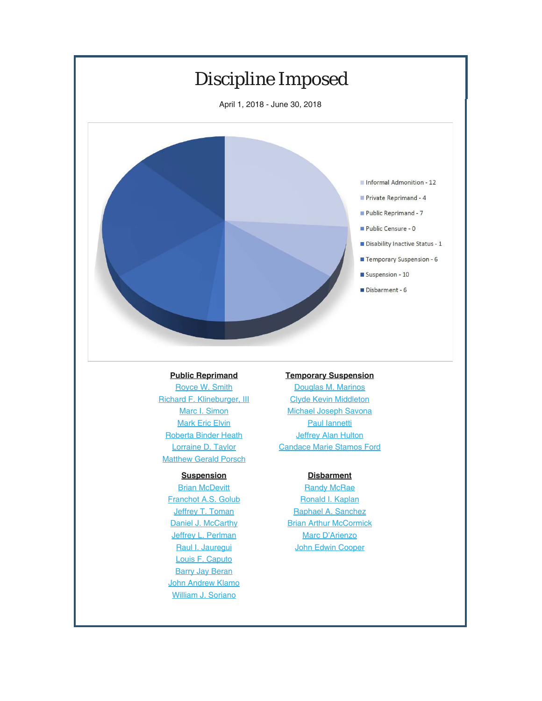

### **[Public Reprimand](http://www.pacourts.us/assets/opinions/DisciplinaryBoard/out/105DB2017-Taylor.pdf)**

[Royce W. Smith](http://www.pacourts.us/assets/opinions/DisciplinaryBoard/out/88DB2017-Porsch.pdf) Richard F. Klineburger, III [Marc I. Simon](http://www.pacourts.us/assets/opinions/DisciplinaryBoard/out/McDevittOrder.pdf?cb=1) **[Mark Eric Elvin](http://www.pacourts.us/assets/opinions/DisciplinaryBoard/out/162DB2016-Golub.pdf?cb=1)** R[oberta Binder Hea](http://www.pacourts.us/assets/opinions/DisciplinaryBoard/out/113DB2017-Toman.pdf?cb=1)th [Lorraine D. Taylor](http://www.pacourts.us/assets/opinions/DisciplinaryBoard/out/184DB2017-McCarthy.pdf?cb=1) M[atthew Gerald Pors](http://www.pacourts.us/assets/opinions/DisciplinaryBoard/out/60DB2018-Perlman.pdf?cb=1)ch

### **[Suspension](http://www.pacourts.us/assets/opinions/DisciplinaryBoard/out/134DB2017-Jauregui.pdf?cb=1)**

**[Brian McDevitt](http://www.pacourts.us/assets/opinions/DisciplinaryBoard/out/140DB2017-Caputo.pdf?cb=1)** F[ranchot A.S. Golu](http://www.pacourts.us/assets/opinions/DisciplinaryBoard/out/Beran%20Suspension%20Order.pdf?cb=1)b **[Jeffrey T. Toman](http://www.pacourts.us/assets/opinions/DisciplinaryBoard/out/Klamo%20Suspension%20Order.pdf?cb=1)** [Daniel J. McCarthy](http://www.pacourts.us/assets/opinions/DisciplinaryBoard/out/Soriano%20Suspension%20Order.pdf?cb=1) Jeffrey L. Perlman Raul I. Jauregui Louis F. Caputo **Barry Jay Beran John Andrew Klamo** William J. Soriano

### **[Temporary Suspension](http://www.pacourts.us/assets/opinions/DisciplinaryBoard/out/Ford-Temporary%20Suspension.pdf?cb=1)**

Douglas M. Marinos Clyde Kevin Middleton Mich[ael Joseph Sav](http://www.pacourts.us/assets/opinions/DisciplinaryBoard/out/199DB2017-McRae.pdf?cb=1)ona [Paul Iannetti](http://www.pacourts.us/assets/opinions/DisciplinaryBoard/out/203DB2017-Kaplan.pdf?cb=1) **[Jeffrey Alan Hulton](http://www.pacourts.us/assets/opinions/DisciplinaryBoard/out/59DB2018-Sanchez.pdf?cb=1)** C[andace Marie Stamos Fo](http://www.pacourts.us/assets/opinions/DisciplinaryBoard/out/48DB2018-Mccormick.pdf?cb=1)rd

### **[Disbarment](http://www.pacourts.us/assets/opinions/DisciplinaryBoard/out/Cooper%20Disbar%20on%20Consent%20Order.pdf?cb=1)**

**Randy McRae** Ronald I. Kaplan Raphael A. Sanchez **Brian Arthur McCormick** Marc D'Arienzo **John Edwin Cooper**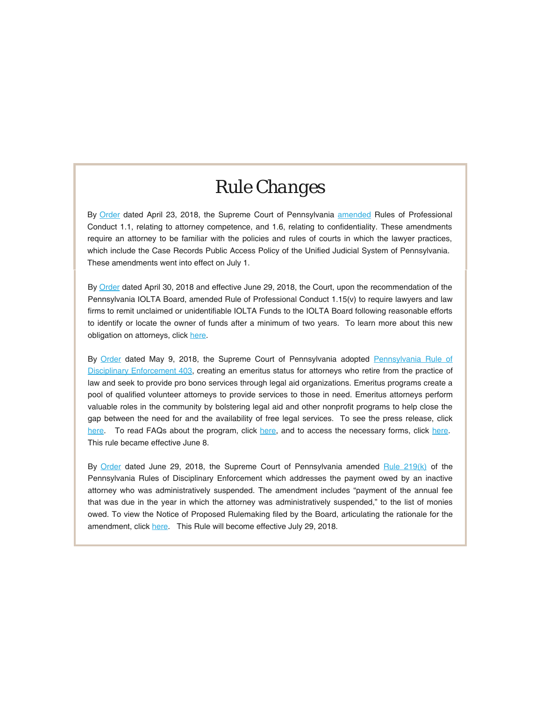## *Rule [Ch](http://www.padisciplinaryboard.org/for-attorneys/resources)anges*

By [Order](https://mailchi.mp/851dd068f205/(http:/www.pacourts.us/assets/opinions/Supreme/out/Order%20Entered%20%2010360275739878750.pdf?cb=1) dated April 23, 2018, the Supreme Court of Pennsylvania amended R[ules of Profe](http://www.pacourts.us/assets/opinions/Supreme/out/Order%20Entered%20%2010360275739878750.pdf?cb=1))ssional Conduct 1.1, relating to attorney competence, and 1.6, relating to confidentiality. These amendments require an attorney to be familiar with the policies and rules of courts in which the lawyer practices, which include the Case Records Public Access Policy of the Unified Judicial System of Pennsylvania. These amendments went into effect on July 1.

By Order dated A[pril 30](https://www.pabulletin.com/secure/data/vol48/48-9/325.html), 2018 and effective June 29, 2018, the Court, upon the recommendation of the Pennsylvania IOLTA Board, amended Rule of Professional Conduct 1.15(v) to require lawyers and law firms to remit unclaimed or unidentifiable IOLTA Funds to the IOLTA Board following reasonable efforts to identify or locate the owner of funds after a minimum of two years. To learn more about this new obligation on attorneys, click here.

By Order dated May 9, 2018, the Supreme Court of Pennsylvania adopted Pennsylvania Rule of Disciplinary Enforcement 403, creating an emeritus status for attorneys who retire from the practice of law and seek to provide pro bono services through legal aid organizations. Emeritus programs create a pool of qualified volunteer attorneys to provide services to those in need. Emeritus attorneys perform valuable roles in the community by bolstering legal aid and other nonprofit programs to help close the gap between the need for and the availability of free legal services. To see the press release, click here. To read FAQs about the program, click here, and to access the necessary forms, click here. This rule became effective June 8.

By Order dated June 29, 2018, the Supreme Court of Pennsylvania amended Rule 219(k) of the Pennsylvania Rules of Disciplinary Enforcement which addresses the payment owed by an inactive attorney who was administratively [suspen](http://www.pacourts.us/assets/opinions/Supreme/out/Order%20Entered%20%2010355602037801888.pdf)ded. The amendment includes "payment of the annual fee that was due in the year in which the attorney was administratively suspended," to the list of monies owed. To view the Notice of Proposed Rulemaking filed by the Board, articulating the rationale for the amendment, click here. This Rule will become effective July 29, 2018.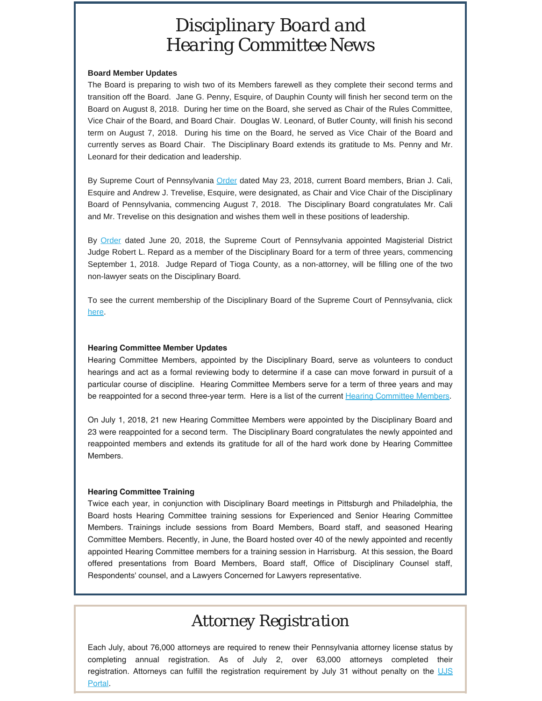## *Disciplinary Board and Hearing Committee News*

### **Board Member Updates**

The Board is preparing to wish two of its Members farewell as they complete their second terms and transition off the Board. Jane G. Penny, Esquire, of Dauphin County will finish her second term on the Board on August 8, 2018. During her time on the Board, she served as Chair of the Rules Committee, Vice Chair of the Board, and Board Chair. Douglas W. Leonard, of Butler County, will finish his second term on August 7, 2018. During his time on the Board, he served as Vice Chair of the Board and currently serves as Board Chair. The Disciplinary Board extends its gratitude to Ms. Penny and Mr. Leonard for their dedication and leadership.

By Supreme Court of Pennsylvania Order dated May 23, 2018, current Board members, Brian J. Cali, Esquire and Andrew J. Trevelise, Esquire, were designated, as Chair and Vice Chair of the Disciplinary Board of Pennsylvania, commencing August 7, 2018. The Disciplinary Board congratulates Mr. Cali and Mr. Trevelise on this designation and wishes them well in these positions of leadership.

By Order dated June 20, 2018, the Supreme Court of Pennsylvania appointed Magisterial District Judge Robert L. Repard as a member of the Disciplinary Board for a term of three years, commencing September 1, 2018. Judge Repard of Tioga County, as a non-attorney, will be filling one of the two non-lawyer seats on the Disciplinary Board.

To see the current membership of the Disciplinary Board of the Supreme Court of Pennsylvania, click here.

### **Hearing Committee Member Updates**

[Hearin](https://ujsportal.pacourts.us/Secure/AttorneyAnnualRegistration/PendingRegistrations.aspx)g Committee Members, appointed by the Disciplinary Board, serve as volunteers to conduct hearings and act as a formal reviewing body to determine if a case can move forward in pursuit of a particular course of discipline. Hearing Committee Members serve for a term of three years and may be reappointed for a second three-year term. Here is a list of the current Hearing Committee Members.

On July 1, 2018, 21 new Hearing Committee Members were appointed by the Disciplinary Board and 23 were reappointed for a second term. The Disciplinary Board congratulates the newly appointed and reappointed members and extends its gratitude for all of the hard work done by Hearing Committee Members.

### **Hearing Committee Training**

Twice each year, in conjunction with Disciplinary Board meetings in Pittsburgh and Philadelphia, the Board hosts Hearing Committee training sessions for Experienced and Senior Hearing Committee Members. Trainings include sessions from Board Members, Board staff, and seasoned Hearing Committee Members. Recently, in June, the Board hosted over 40 of the newly appointed and recently appointed Hearing Committee members for a training session in Harrisburg. At this session, the Board offered presentations from Board Members, Board staff, Office of Disciplinary Counsel staff, Respondents' counsel, and a Lawyers Concerned for Lawyers representative.

### *Attorney Registration*

Each July, about 76,000 attorneys are required to renew their Pennsylvania attorney license status by completing annual registration. As of July 2, over 63,000 attorneys completed their registration. Attorneys can fulfill the registration requirement by July 31 without penalty on the UJS Portal.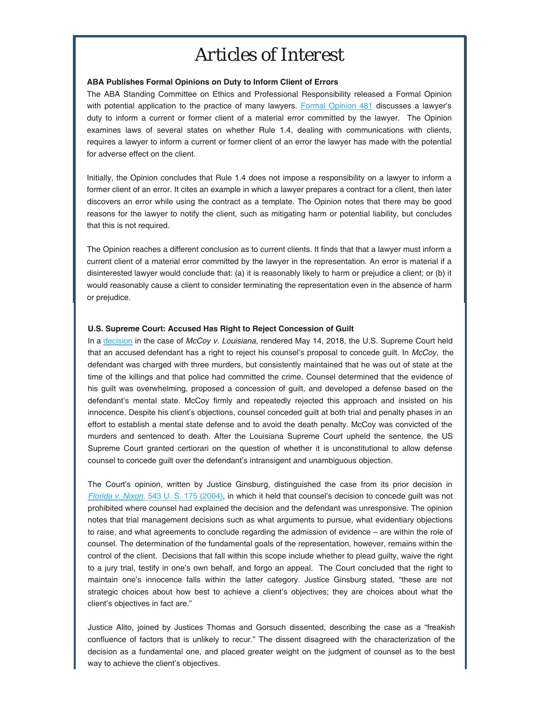## *Articles of Interest*

### **ABA Publishes Formal Opinions on Duty to Inform Client of Errors**

The ABA Standing Committee on Ethics and Professional Responsibility released a Formal Opinion with potential application to the practice of many lawyers. Formal Opinion 481 discusses a lawyer's duty to inform a current or former client of a material error committed by the lawyer. The Opinion examines laws of several states on whether Rule 1.4, dealing with communications with clients, requires a lawyer to inform a current or former client of an error the lawyer has made with the potential for adverse effect on the client.

Initially, the Opinion concludes that Rule 1.4 does not impose a responsibility on a lawyer to inform a former client of an error. It cites an example in which a lawyer prepares a contract for a client, then later discovers an error while using the contract as a template. The Opinion notes that there may be good reasons for the [lawyer to notify the cli](https://supreme.justia.com/cases/federal/us/543/175/opinion.html)ent, such as mitigating harm or potential liability, but concludes [that this is not re](https://supreme.justia.com/cases/federal/us/543/175/opinion.html)quired.

The Opinion reaches a different conclusion as to current clients. It finds that that a lawyer must inform a current client of a material error committed by the lawyer in the representation. An error is material if a disinterested lawyer would conclude that: (a) it is reasonably likely to harm or prejudice a client; or (b) it would reasonably cause a client to consider terminating the representation even in the absence of harm or prejudice.

#### **U.S. Supreme Court: Accused Has Right to Reject Concession of Guilt**

In a decision in the case of *McCoy v. Louisiana*, rendered May 14, 2018, the U.S. Supreme Court held that an accused defendant has a right to reject his counsel's proposal to concede guilt. In *McCoy,* the defendant was charged with three murders, but consistently maintained that he was out of state at the time of the killings and that police had committed the crime. Counsel determined that the evidence of his guilt was overwhelming, proposed a concession of guilt, and developed a defense based on the defendant's mental state. McCoy firmly and repeatedly rejected this approach and insisted on his innocence. Despite his client's objections, counsel conceded guilt at both trial and penalty phases in an effort to establish a mental state defense and to avoid the death penalty. McCoy was convicted of the murders and sentenced to death. After the Louisiana Supreme Court upheld the sentence, the US Supreme Court granted certiorari on the question of whether it is unconstitutional to allow defense counsel to concede guilt over the defendant's intransigent and unambiguous objection.

[The Cou](https://www.thehappytimemurders.movie/)rt's opin[ion, written by Ju](https://cdn1.thr.com/sites/default/files/imagecache/scale_crop_768_433/2018/05/happytime.jpg)stice Ginsburg, distinguished the case from its prior decision in *Florida v. Nixon*, 543 [U](https://mailchi.mp/851dd068f205/0xofi6dpv6-243869#_edn1). S. 175 (2004), in which it held that counsel's decision to concede guilt was not prohibited where counsel had explained the decision and the defendant was unresponsive. The opinion notes that trial management decisions such as what arguments to pursue, what evidentiary objections to ra[ise, and what](https://www.huffingtonpost.com/entry/sesame-street-creators-sue-puppet-film-happytime-murders_us_5b0860fae4b0802d69cb2944) agreements to conclude regarding the admission of evidence – are within the role of counsel. The determination of the fundamental goals of the representation, however, remains within the control of the client. Decisions [th](https://mailchi.mp/851dd068f205/0xofi6dpv6-243869#_edn2)at fall within this scope inclu[de whether](https://www.hollywoodreporter.com/thr-esq/fred-esq-fights-sesame-street-lawsuit-melissa-mccarthy-puppet-film-1115390) to plead guilty, waive the right to a jury trial, testify in on[e's own be](https://img.huffingtonpost.com/asset/5b0b6ed82000004100b92b2b.jpeg?cache=nsmu1pnxhq&ops=crop_7_0_873_965,scalefit_720_noupscale)half, and forgo an appeal. The Court concluded that the right to maintain one's innocence falls within the latter category. Justice Ginsburg stated, "these are not strategic choices about how best to achieve a client's objectives; they are choices about what the client's objectives in fact are."

Justice Alito, joined by Justices Thomas and Gorsuch dissented, describing the case as a "freakish confluence of factors that is unlikely to recur." The dissent disagreed with the characterization of the decision as a fundamental one, and placed greater weight on the judgment of counsel as to the best way to achieve the client's objectives.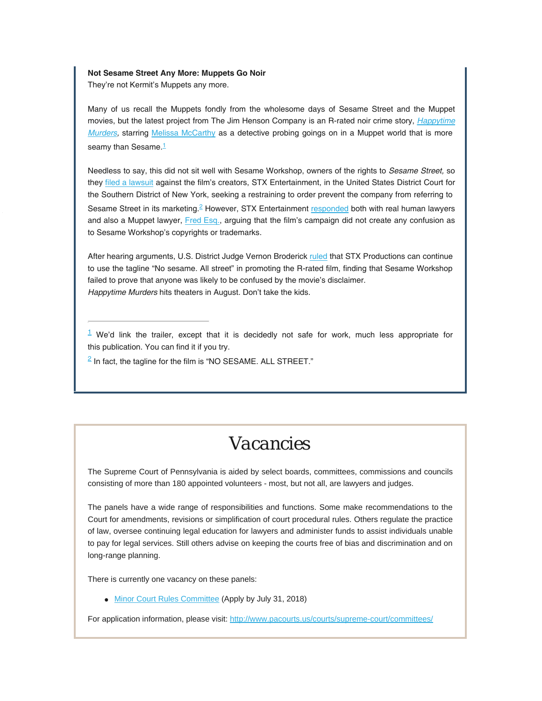### **[N](https://mailchi.mp/851dd068f205/0xofi6dpv6-243869#_ednref2)ot Sesame Street Any More: Muppets Go Noir**

They're not Kermit's Muppets any more.

Many of us recall the Muppets fondly from the wholesome days of Sesame Street and the Muppet movies, but the latest project from The Jim Henson Company is an R-rated noir crime story, *Happytime Murders,* starring Melissa McCarthy as a detective probing goings on in a Muppet world that is more seamy than Sesame.<sup>1</sup>

Needless to say, this did not sit well with Sesame Workshop, owners of the rights to *Sesame Street,* so they filed a lawsuit against the film's creators, STX Entertainment, in the United States District Court for the Southern District of New York, seeking a restraining to order prevent the company from referring to Sesame Street in its marketing.<sup>2</sup> However, STX Entertainment responded both with real human lawyers and also a Muppet lawyer, Fred Esq., arguing that the film's campaign did not create any confusion as to Sesame Workshop's copyrights or trademarks.

After hearing arguments, U.S. District Judge Vernon Broderick ruled that STX Productions can continue to use the tagline "No sesame. All street" in promoting the R-rated film, finding that Sesame Workshop failed to prove that anyone was likely to be confused by the movie's disclaimer. *Happytime Murders* [hits theaters in Au](https://wwwsecure.pacourts.us/courts/supreme-court/committees/membership-requirements-for-the-minor-court-rules-committee)gust. Don't take the kids.

 $1$  We'd link the trailer, except that it is decidedly not safe for work, much less appropriate for this publication. You can find it if you try.

 $\frac{2}{3}$  In fact, the tagline for the film is "NO SESAME. ALL STREET."

## *Vacancies*

The Supreme Court of Pennsylvania is aided by select boards, committees, commissions and councils consisting of more than 180 appointed volunteers - most, but not all, are lawyers and judges.

The panels have a wide range of responsibilities and fu[nctions. Some make recommendations to](http://www.pabarexam.org/) the Court for amendments, revisions or simplification of court procedural rules. Others regulate the practice of law, oversee continuing legal education for lawyers and administer funds to assist individuals unable to pay for legal services. Still others advise on keeping the courts free of bias and discrimination and on long-range planning.

There is currently one vacancy on these panels:

• Minor Court Rules Committee (Apply by July 31, 2018)

For application information, please visit: http://www.pacourts.us/courts/supreme-court/committees/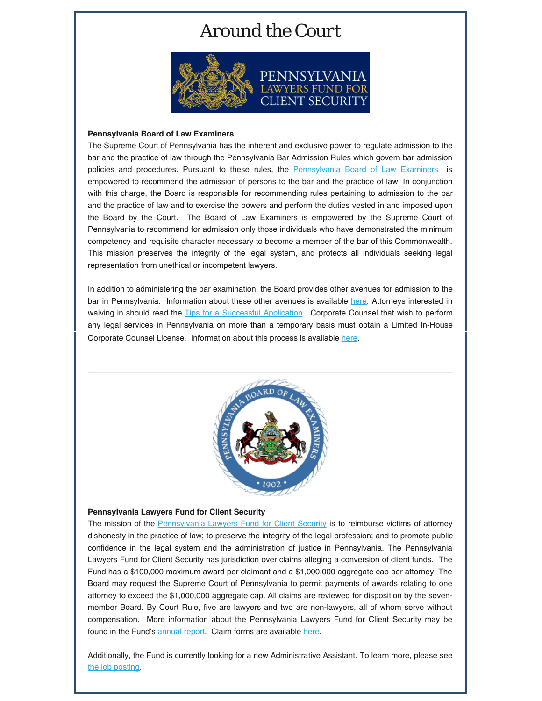## *Around the Court*



### **Pennsylvania Board of Law Examiners**

The Supreme Court of Pennsylvania has the inherent and exclusive power to regulate admission to the bar and the practice of law through the Pennsylvania Bar Admission Rules which govern bar admission policies and procedures. Pursuant to these rules, the Pennsylvania Board of Law Examiners is empowered to recommend the admission of persons to the bar and the practice of law. In conjunction with this charge, the Board is responsible for recommending rules pertaining to admission to the bar and the practice of law and to exercise the powers and perform the duties vested in and imposed upon the Board by the [Court. The Board of Law Examiners is emp](https://palawfund.com/)owered by the Supreme Court of Pennsylvania to recommend for admission only those individuals who have demonstrated the minimum competency and requisite character necessary to become a member of the bar of this Commonwealth. This mission preserves the integrity of the legal system, and protects all individuals seeking legal representation from unethical or incompetent lawyers.

Corporate Counsel License. Information about this process is available here. In addition to administering the bar examination, the Board provides other avenues for admission to the bar in Pennsylvania. Information about these other avenues is available here. Attorneys interested in waiving in should read the Tips for a Successful Application. Corporate Counsel that wish to perform any legal services [in Pennsylvan](https://palawfund.com/wp-content/uploads/annualreport2016-2017.pdf)ia on more than a tempor[ary b](https://palawfund.com/statement-of-claim-form/)asis must obtain a Limited In-House



### **Pennsylvania Lawyers Fund for Client Security**

The mission of the Pennsylvania Lawyers Fund for Client Security is to reimburse victims of attorney dishonesty in the practice of law; to preserve the integrity of the legal profession; and to promote public confid[ence in the legal sys](https://www.padisciplinaryboard.org/for-the-public/resources)tem and the ad[ministration of](https://www.padisciplinaryboard.org/about/reports) justice in Penns[ylvania. The Penn](https://www.padisciplinaryboard.org/for-the-public/search-recent-discipline)sylvania Lawy[ers Fund for Client Sec](https://www.padisciplinaryboard.org/for-attorneys/resources)urity has jurisdiction [over c](https://www.padisciplinaryboard.org/for-attorneys/rules)laims alleging a con[version of client fund](https://www.padisciplinaryboard.org/Storage/media/pdfs/20180326/173921-disciplinestatistics-2017.pdf)s. The Fund has a \$100,000 maximum award per claimant and a \$1,000,000 aggregate cap per attorney. The Board may request the Supreme Court of Pennsylvania to permit payments of awards relating to one attorney to exceed the \$1,000,000 aggregate cap. All claims are reviewed for disposition by the sevenmember Board. By Court Rule, five are lawyers and two are non-lawyers, all of whom serve without compensation. More information about the Pennsylvania Lawyers Fund for Client Security may be found in the Fund's annual report. Claim forms are available here.

Additionally, the Fund is currently looking for a new Administrative Assistant. To learn more, please see the job posting.